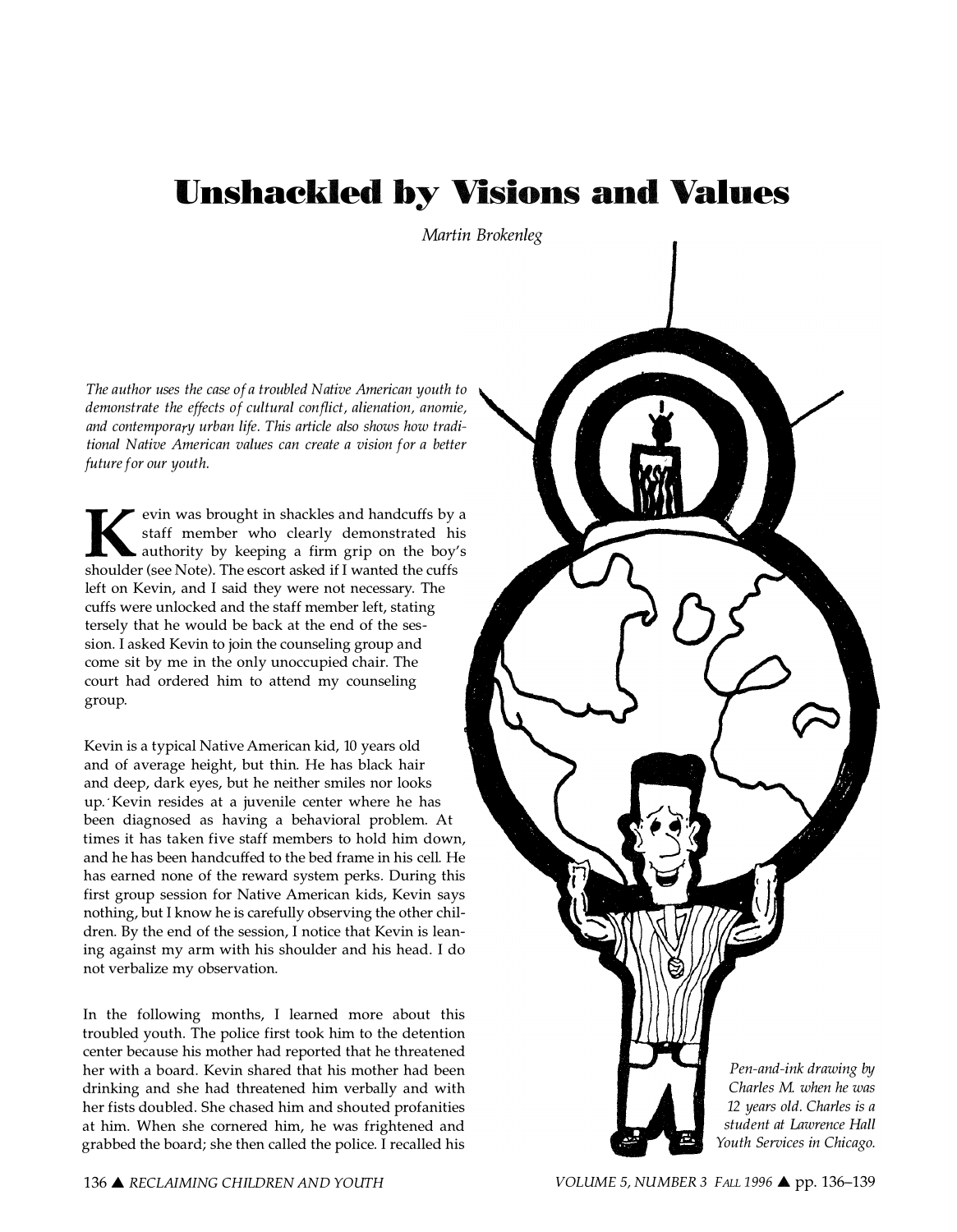# Unshackled by Visions and Values

Martin Brokenleg

The author uses the case of a troubled Native American youth to demonstrate the effects of cultural conflict, alienation, anomie, and contemporary urban life. This article also shows how traditional Native American values can create a vision for a better future for our youth.

K evin was brought in shackles and handcuffs by a staff member who clearly demonstrated his authority by keeping a firm grip on the boy's shoulder (see Note). The escort asked if I wanted the cuffs left on Kevin, and I said they were not necessary. The cuffs were unlocked and the staff member left, stating tersely that he would be back at the end of the session. I asked Kevin to join the counseling group and come sit by me in the only unoccupied chair. The court had ordered him to attend my counseling group.

Kevin is a typical Native American kid, 10 years old and of average height, but thin. He has black hair and deep, dark eyes, but he neither smiles nor looks up. Kevin resides at a juvenile center where he has been diagnosed as having a behavioral problem. At times it has taken five staff members to hold him down, and he has been handcuffed to the bed frame in his cell. He has earned none of the reward system perks. During this first group session for Native American kids, Kevin says nothing, but I know he is carefully observing the other children. By the end of the session, I notice that Kevin is leaning against my arm with his shoulder and his head. I do not verbalize my observation.

In the following months, I learned more about this troubled youth. The police first took him to the detention center because his mother had reported that he threatened her with a board. Kevin shared that his mother had been drinking and she had threatened him verbally and with her fists doubled. She chased him and shouted profanities at him. When she cornered him, he was frightened and grabbed the board; she then called the police. I recalled his

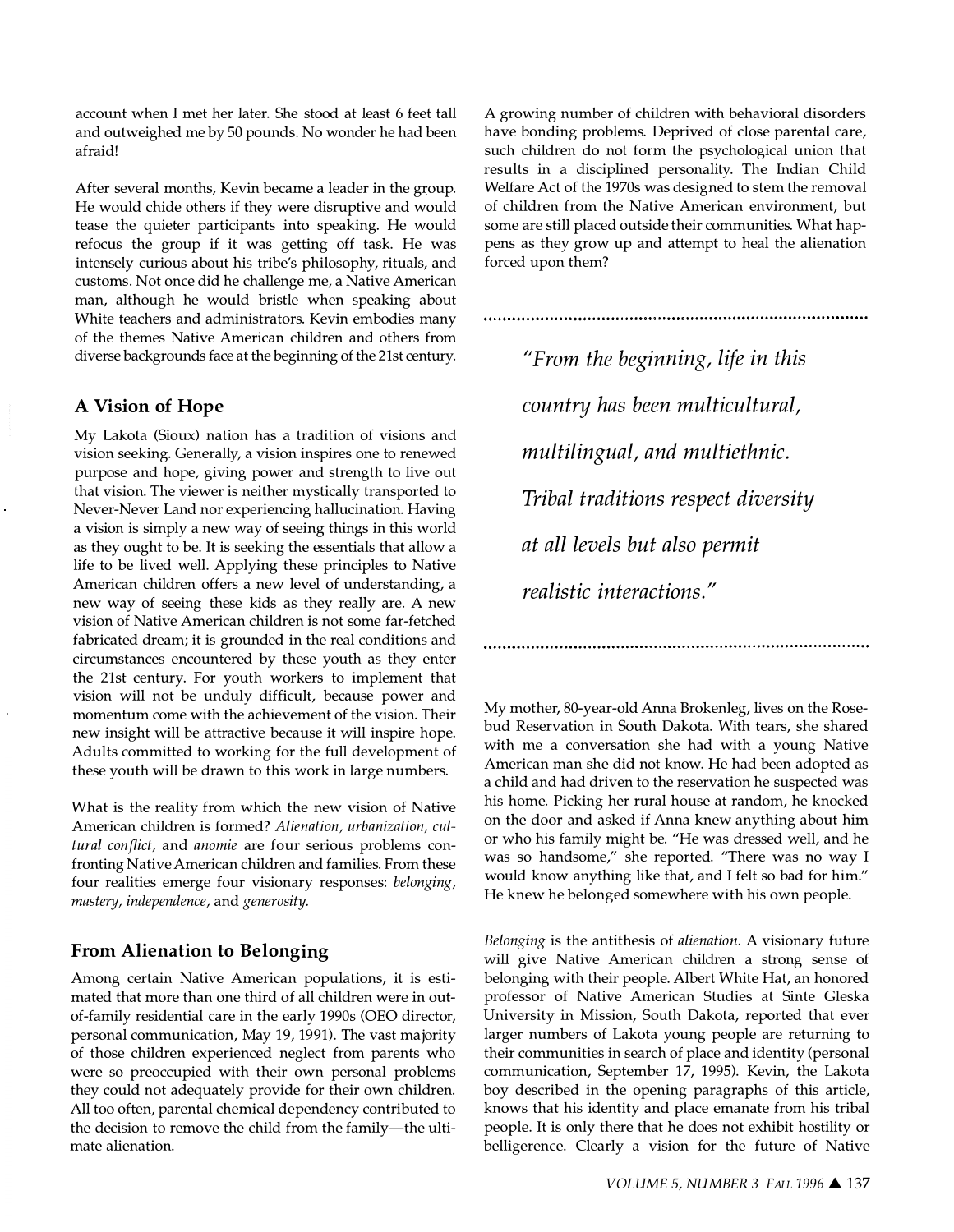account when I met her later. She stood at least 6 feet tall and outweighed me by 50 pounds. No wonder he had been afraid!

After several months, Kevin became a leader in the group. He would chide others if they were disruptive and would tease the quieter participants into speaking. He would refocus the group if it was getting off task. He was intensely curious about his tribe's philosophy, rituals, and customs. Not once did he challenge me, a Native American man, although he would bristle when speaking about White teachers and administrators. Kevin embodies many of the themes Native American children and others from diverse backgrounds face at the beginning of the 21st century.

## A Vision of Hope

My Lakota (Sioux) nation has a tradition of visions and vision seeking. Generally, a vision inspires one to renewed purpose and hope, giving power and strength to live out that vision. The viewer is neither mystically transported to Never-Never Land nor experiencing hallucination. Having a vision is simply a new way of seeing things in this world as they ought to be. It is seeking the essentials that allow a life to be lived well. Applying these principles to Native American children offers a new level of understanding, a new way of seeing these kids as they really are. A new vision of Native American children is not some far-fetched fabricated dream; it is grounded in the real conditions and circumstances encountered by these youth as they enter the 21st century. For youth workers to implement that vision will not be unduly difficult, because power and momentum come with the achievement of the vision. Their new insight will be attractive because it will inspire hope. Adults committed to working for the full development of these youth will be drawn to this work in large numbers.

What is the reality from which the new vision of Native American children is formed? Alienation, urbanization, cultural conflict, and anomie are four serious problems confronting Native American children and families. From these four realities emerge four visionary responses: belonging, mastery, independence, and generosity.

## From Alienation to Belonging

Among certain Native American populations, it is estimated that more than one third of all children were in outof-family residential care in the early 1990s (OEO director, personal communication, May 19, 1991). The vast majority of those children experienced neglect from parents who were so preoccupied with their own personal problems they could not adequately provide for their own children. All too often, parental chemical dependency contributed to the decision to remove the child from the family-the ultimate alienation.

A growing number of children with behavioral disorders have bonding problems. Deprived of close parental care, such children do not form the psychological union that results in a disciplined personality. The Indian Child Welfare Act of the 1970s was designed to stem the removal of children from the Native American environment, but some are still placed outside their communities. What happens as they grow up and attempt to heal the alienation forced upon them?

"From the beginning, life in this country has been multicultural, multilingual, and multiethnic. Tribal traditions respect diversity at all levels but also permit realistic interactions."

My mother, 80-year-old Anna Brokenleg, lives on the Rosebud Reservation in South Dakota. With tears, she shared with me a conversation she had with a young Native American man she did not know. He had been adopted as a child and had driven to the reservation he suspected was his home. Picking her rural house at random, he knocked on the door and asked if Anna knew anything about him or who his family might be. "He was dressed well, and he was so handsome," she reported. "There was no way I would know anything like that, and I felt so bad for him." He knew he belonged somewhere with his own people.

Belonging is the antithesis of alienation. A visionary future will give Native American children a strong sense of belonging with their people. Albert White Hat, an honored professor of Native American Studies at Sinte Gleska University in Mission, South Dakota, reported that ever larger numbers of Lakota young people are returning to their communities in search of place and identity (personal communication, September 17, 1995). Kevin, the Lakota boy described in the opening paragraphs of this article, knows that his identity and place emanate from his tribal people. It is only there that he does not exhibit hostility or belligerence. Clearly a vision for the future of Native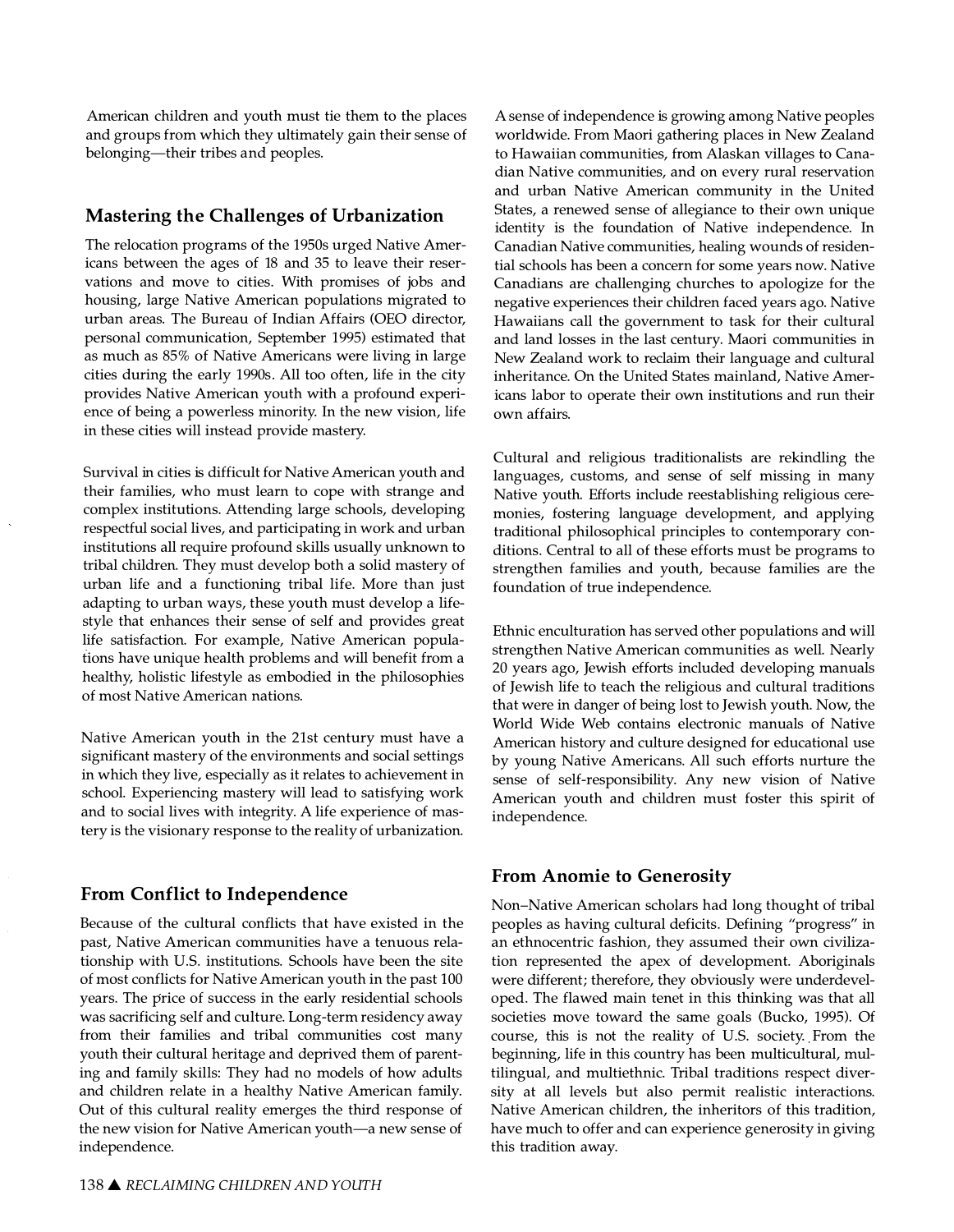American children and youth must tie them to the places and groups from which they ultimately gain their sense of belonging-their tribes and peoples.

## Mastering the Challenges of Urbanization

The relocation programs of the 1950s urged Native Americans between the ages of 18 and 35 to leave their reservations and move to cities. With promises of jobs and housing, large Native American populations migrated to urban areas. The Bureau of Indian Affairs (OEO director, personal communication, September 1995) estimated that as much as 85% of Native Americans were living in large cities during the early 1990s. All too often, life in the city provides Native American youth with a profound experience of being a powerless minority. In the new vision, life in these cities will instead provide mastery.

Survival in cities is difficult for Native American youth and their families, who must learn to cope with strange and complex institutions. Attending large schools, developing respectful social lives, and participating in work and urban institutions all require profound skills usually unknown to tribal children. They must develop both a solid mastery of urban life and a functioning tribal life. More than just adapting to urban ways, these youth must develop a lifestyle that enhances their sense of self and provides great life satisfaction. For example, Native American populations have unique health problems and will benefit from a healthy, holistic lifestyle as embodied in the philosophies of most Native American nations.

Native American youth in the 21st century must have a significant mastery of the environments and social settings in which they live, especially as it relates to achievement in school. Experiencing mastery will lead to satisfying work and to social lives with integrity. A life experience of mastery is the visionary response to the reality of urbanization.

# From Conflict to Independence

Because of the cultural conflicts that have existed in the past, Native American communities have a tenuous relationship with U.S. institutions. Schools have been the site of most conflicts for Native American youth in the past 100 years. The price of success in the early residential schools was sacrificing self and culture. Long-term residency away from their families and tribal communities cost many youth their cultural heritage and deprived them of parenting and family skills: They had no models of how adults and children relate in a healthy Native American family. Out of this cultural reality emerges the third response of the new vision for Native American youth-a new sense of independence.

A sense of independence is growing among Native peoples worldwide. From Maori gathering places in New Zealand to Hawaiian communities, from Alaskan villages to Canadian Native communities, and on every rural reservation and urban Native American community in the United States, a renewed sense of allegiance to their own unique identity is the foundation of Native independence. In Canadian Native communities, healing wounds of residential schools has been a concern for some years now. Native Canadians are challenging churches to apologize for the negative experiences their children faced years ago. Native Hawaiians call the government to task for their cultural and land losses in the last century. Maori communities in New Zealand work to reclaim their language and cultural inheritance. On the United States mainland, Native Americans labor to operate their own institutions and run their own affairs.

Cultural and religious traditionalists are rekindling the languages, customs, and sense of self missing in many Native youth. Efforts include reestablishing religious ceremonies, fostering language development, and applying traditional philosophical principles to contemporary conditions. Central to all of these efforts must be programs to strengthen families and youth, because families are the foundation of true independence.

Ethnic enculturation has served other populations and will strengthen Native American communities as well. Nearly 20 years ago, Jewish efforts included developing manuals of Jewish life to teach the religious and cultural traditions that were in danger of being lost to Jewish youth. Now, the World Wide Web contains electronic manuals of Native American history and culture designed for educational use by young Native Americans. All such efforts nurture the sense of self-responsibility. Any new vision of Native American youth and children must foster this spirit of independence.

# From Anomie to Generosity

Non-Native American scholars had long thought of tribal peoples as having cultural deficits. Defining "progress" in an ethnocentric fashion, they assumed their own civilization represented the apex of development. Aboriginals were different; therefore, they obviously were underdeveloped. The flawed main tenet in this thinking was that all societies move toward the same goals (Bucko, 1995). Of course, this is not the reality of U.S. society. From the beginning, life in this country has been multicultural, multilingual, and multiethnic. Tribal traditions respect diversity at all levels but also permit realistic interactions. Native American children, the inheritors of this tradition, have much to offer and can experience generosity in giving this tradition away.